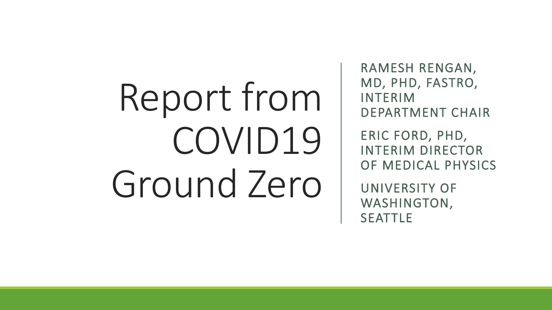# Report from COVID19 Ground Zero

RAMESH RENGAN, MD, PHD, FASTRO, INTERIM DEPARTMENT CHAIR

ERIC FORD, PHD, INTERIM DIRECTOR OF MEDICAL PHYSICS

UNIVERSITY OF WASHINGTON, SEATTLE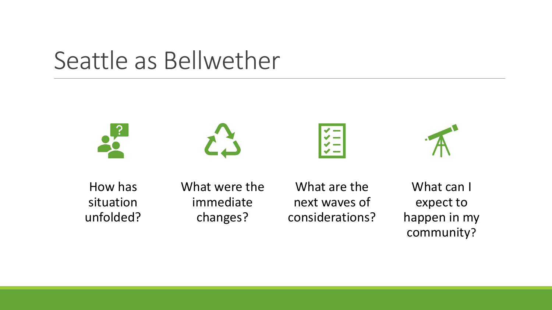### Seattle as Bellwether







What were the immediate changes?

What are the next waves of

 $\checkmark$  $\dot{\mathbf{v}}$  and

considerations?

What can I expect to happen in my community?

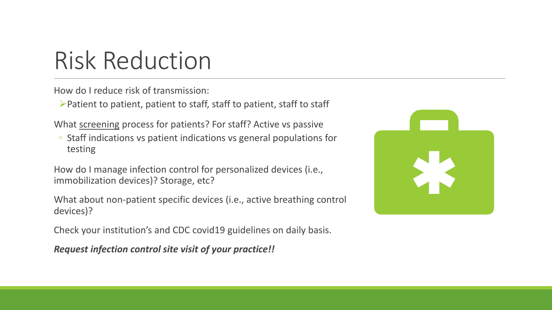### Risk Reduction

How do I reduce risk of transmission:

➢Patient to patient, patient to staff, staff to patient, staff to staff

What screening process for patients? For staff? Active vs passive

◦ Staff indications vs patient indications vs general populations for testing

How do I manage infection control for personalized devices (i.e., immobilization devices)? Storage, etc?

What about non-patient specific devices (i.e., active breathing control devices)?

Check your institution's and CDC covid19 guidelines on daily basis.

*Request infection control site visit of your practice!!*

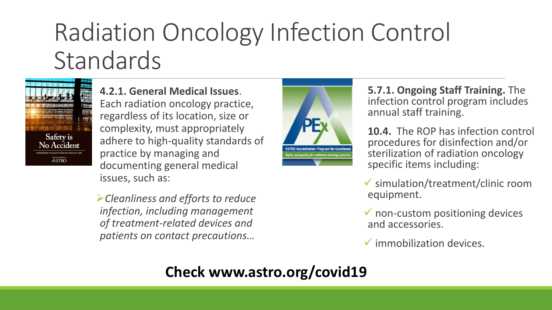### Radiation Oncology Infection Control Standards



**4.2.1. General Medical Issues**. Each radiation oncology practice, regardless of its location, size or complexity, must appropriately adhere to high-quality standards of practice by managing and documenting general medical issues, such as:

➢*Cleanliness and efforts to reduce infection, including management of treatment-related devices and patients on contact precautions…*



**5.7.1. Ongoing Staff Training.** The infection control program includes annual staff training.

**10.4.** The ROP has infection control procedures for disinfection and/or sterilization of radiation oncology specific items including:

- ✓ simulation/treatment/clinic room equipment.
- $\checkmark$  non-custom positioning devices and accessories.
- $\checkmark$  immobilization devices.

### **Check www.astro.org/covid19**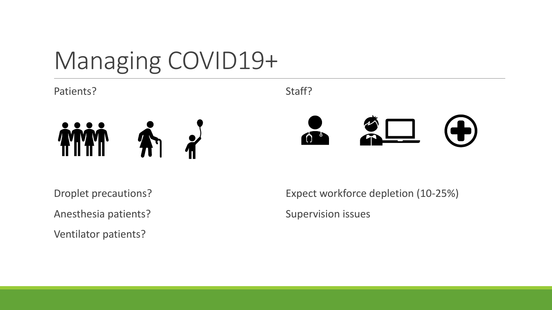## Managing COVID19+

Patients?



Droplet precautions?

Anesthesia patients?

Ventilator patients?

Expect workforce depletion (10-25%) Supervision issues

Ð)

Staff?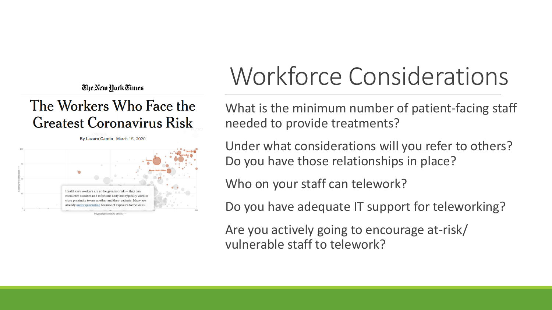#### The New Hork Times

#### The Workers Who Face the **Greatest Coronavirus Risk**



### Workforce Considerations

What is the minimum number of patient-facing staff needed to provide treatments?

Under what considerations will you refer to others? Do you have those relationships in place?

Who on your staff can telework?

Do you have adequate IT support for teleworking?

Are you actively going to encourage at-risk/ vulnerable staff to telework?